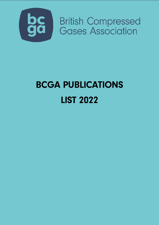

**British Compressed<br>Gases Association** 

## **BCGA PUBLICATIONS LIST 2022**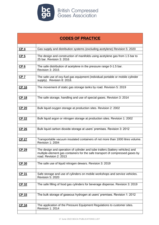

| <b>CODES OF PRACTICE</b> |                                                                                                                                                                                          |
|--------------------------|------------------------------------------------------------------------------------------------------------------------------------------------------------------------------------------|
|                          |                                                                                                                                                                                          |
| CP <sub>4</sub>          | Gas supply and distribution systems (excluding acetylene) Revision 5: 2020                                                                                                               |
| CP <sub>5</sub>          | The design and construction of manifolds using acetylene gas from 1.5 bar to<br>25 bar. Revision 3: 2016                                                                                 |
| CP <sub>6</sub>          | The safe distribution of acetylene in the pressure range 0-1.5 bar.<br><b>Revision 3: 2015</b>                                                                                           |
| CP <sub>7</sub>          | The safe use of oxy-fuel gas equipment (individual portable or mobile cylinder<br>supply). Revision 8: 2018.                                                                             |
| CP 16                    | The movement of static gas storage tanks by road. Revision 5: 2019                                                                                                                       |
| <b>CP 18</b>             | The safe storage, handling and use of special gases. Revision 3: 2014                                                                                                                    |
| <b>CP 20</b>             | Bulk liquid oxygen storage at production sites. Revision 2: 2002                                                                                                                         |
| CP 22                    | Bulk liquid argon or nitrogen storage at production sites. Revision 1: 2002                                                                                                              |
| <b>CP 26</b>             | Bulk liquid carbon dioxide storage at users' premises. Revision 3: 2012                                                                                                                  |
| <b>CP 27</b>             | Transportable vacuum insulated containers of not more than 1000 litres volume.<br><b>Revision 1: 2004</b>                                                                                |
| CP 29                    | The design and operation of cylinder and tube trailers (battery vehicles) and<br>multiple-element gas containers for the safe transport of compressed gases by<br>road. Revision 2: 2013 |
| CP 30                    | The safe use of liquid nitrogen dewars. Revision 3: 2019                                                                                                                                 |
| <u>CP 31</u>             | Safe storage and use of cylinders on mobile workshops and service vehicles.<br><b>Revision 5: 2020</b>                                                                                   |
| CP 32                    | The safe filling of food gas cylinders for beverage dispense. Revision 3: 2019                                                                                                           |
| CP 33                    | The bulk storage of gaseous hydrogen at users' premises. Revision 1: 2012                                                                                                                |
| CP 34                    | The application of the Pressure Equipment Regulations to customer sites.<br><b>Revision 1: 2014</b>                                                                                      |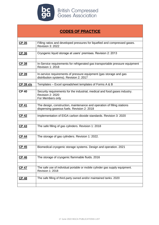

**British Compressed<br>Gases Association** 

## **CODES OF PRACTICE**

| CP 35            | Filling ratios and developed pressures for liquefied and compressed gases.<br><b>Revision 3: 2022</b>                     |
|------------------|---------------------------------------------------------------------------------------------------------------------------|
| CP 36            | Cryogenic liquid storage at users' premises. Revision 2: 2013                                                             |
| CP 38            | In-Service requirements for refrigerated gas transportable pressure equipment<br><b>Revision 1: 2018</b>                  |
| CP 39            | In-service requirements of pressure equipment (gas storage and gas<br>distribution systems). Revision 2: 2017             |
| <b>CP 39 xls</b> | Templates – Excel spreadsheet templates of Forms A & B                                                                    |
| <b>CP 40</b>     | Security requirements for the industrial, medical and food gases industry.<br><b>Revision 2: 2020</b><br>For Members only |
| <b>CP 41</b>     | The design, construction, maintenance and operation of filling stations<br>dispensing gaseous fuels. Revision 2: 2018     |
| CP 42            | Implementation of EIGA carbon dioxide standards. Revision 3: 2020                                                         |
| CP 43            | The safe filling of gas cylinders. Revision 1: 2018                                                                       |
| <u>CP 44</u>     | The storage of gas cylinders. Revision 1: 2022.                                                                           |
| CP 45            | Biomedical cryogenic storage systems. Design and operation. 2021                                                          |
| CP 46            | The storage of cryogenic flammable fluids. 2016                                                                           |
| <b>CP 47</b>     | The safe use of individual portable or mobile cylinder gas supply equipment.<br><b>Revision 1: 2018</b>                   |
| CP 48            | The safe filling of third-party owned and/or maintained tanks. 2020                                                       |
|                  |                                                                                                                           |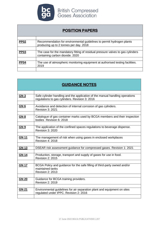

| <b>POSITION PAPERS</b> |                                                                                                                    |
|------------------------|--------------------------------------------------------------------------------------------------------------------|
|                        |                                                                                                                    |
| <b>PP02</b>            | Recommendation for environmental guidelines to permit hydrogen plants<br>producing up to 2 tonnes per day. 2018    |
|                        |                                                                                                                    |
| <b>PP03</b>            | The case for the mandatory fitting of residual pressure valves to gas cylinders<br>containing carbon dioxide. 2020 |
|                        |                                                                                                                    |
| <b>PP04</b>            | The use of atmospheric monitoring equipment at authorised testing facilities.<br>2019                              |
|                        |                                                                                                                    |

| <b>GUIDANCE NOTES</b> |                                                                                                                                |
|-----------------------|--------------------------------------------------------------------------------------------------------------------------------|
|                       |                                                                                                                                |
| GN <sub>3</sub>       | Safe cylinder handling and the application of the manual handling operations<br>regulations to gas cylinders. Revision 3: 2016 |
| GN <sub>6</sub>       | Avoidance and detection of internal corrosion of gas cylinders.<br><b>Revision 3: 2021</b>                                     |
| GN <sub>8</sub>       | Catalogue of gas container marks used by BCGA members and their inspection<br>bodies Revision 6: 2018                          |
| <b>GN 9</b>           | The application of the confined spaces regulations to beverage dispense.<br><b>Revision 3: 2020</b>                            |
| <b>GN 11</b>          | The management of risk when using gases in enclosed workplaces<br><b>Revision 4: 2018</b>                                      |
| <b>GN 13</b>          | DSEAR risk assessment guidance for compressed gases. Revision 1: 2021                                                          |
| <b>GN 14</b>          | Production, storage, transport and supply of gases for use in food.<br><b>Revision 2: 2015</b>                                 |
| GN 17                 | BCGA Policy and guidance for the safe filling of third-party owned and/or<br>maintained tanks<br><b>Revision 2: 2013</b>       |
| <b>GN 20</b>          | Guidance for BCGA training providers.<br><b>Revision 2: 2019</b>                                                               |
| <b>GN 21</b>          | Environmental guidelines for air separation plant and equipment on sites<br>regulated under IPPC. Revision 2: 2016             |
|                       |                                                                                                                                |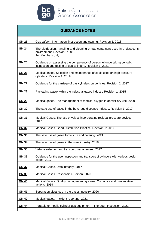

| <b>GUIDANCE NOTES</b> |                                                                                                                                      |
|-----------------------|--------------------------------------------------------------------------------------------------------------------------------------|
| <b>GN 23</b>          | Gas safety. Information, instruction and training. Revision 1: 2018                                                                  |
|                       |                                                                                                                                      |
| <b>GN 24</b>          | The distribution, handling and cleaning of gas containers used in a biosecurity<br>environment. Revision 1: 2019<br>For Members only |
| <b>GN 25</b>          | Guidance on assessing the competency of personnel undertaking periodic<br>inspection and testing of gas cylinders. Revision 1: 2021  |
| <b>GN 26</b>          | Medical gases. Selection and maintenance of seals used on high pressure<br>cylinders. Revision 1: 2019                               |
| <b>GN 27</b>          | Guidance for the carriage of gas cylinders on vehicles. Revision 2: 2017                                                             |
| <b>GN 28</b>          | Packaging waste within the industrial gases industry Revision 1: 2015                                                                |
| GN 29                 | Medical gases. The management of medical oxygen in domiciliary use. 2020                                                             |
| GN 30                 | The safe use of gases in the beverage dispense industry. Revision 1: 2017                                                            |
| GN 31                 | Medical Gases. The use of valves incorporating residual pressure devices.<br>2017                                                    |
| <b>GN 32</b>          | Medical Gases. Good Distribution Practice. Revision 1: 2017                                                                          |
| <b>GN 33</b>          | The safe use of gases for leisure and catering. 2021                                                                                 |
| GN 34                 | The safe use of gases in the steel industry. 2018                                                                                    |
| <b>GN 35</b>          | Vehicle selection and transport management. 2017                                                                                     |
| GN 36                 | Guidance for the use, inspection and transport of cylinders with various design<br>codes. 2017                                       |
| <b>GN 37</b>          | Medical Gases. Data integrity. 2017                                                                                                  |
| <b>GN 39</b>          | Medical Gases. Responsible Person. 2020                                                                                              |
| GN 40                 | Medical Gases. Quality management systems. Corrective and preventative<br>actions. 2019                                              |
| GN 41                 | Separation distances in the gases industry. 2020                                                                                     |
| <b>GN 42</b>          | Medical gases. Incident reporting. 2021                                                                                              |
| <b>GN 44</b>          | Portable or mobile cylinder gas equipment - Thorough Insepction. 2021                                                                |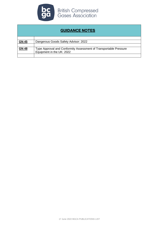

| <b>GUIDANCE NOTES</b> |                                                                                                |
|-----------------------|------------------------------------------------------------------------------------------------|
|                       |                                                                                                |
| <b>GN 45</b>          | Dangerous Goods Safety Advisor: 2022                                                           |
|                       |                                                                                                |
| <b>GN 48</b>          | Type Approval and Conformity Assessment of Transportable Pressure<br>Equipment in the UK: 2022 |
|                       |                                                                                                |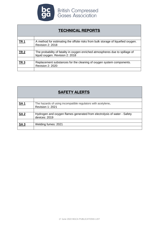

**bc** British Compressed<br>**GC** Gases Association

| <b>TECHNICAL REPORTS</b> |                                                                                                                  |
|--------------------------|------------------------------------------------------------------------------------------------------------------|
|                          |                                                                                                                  |
| <b>TR1</b>               | A method for estimating the offsite risks from bulk storage of liquefied oxygen.<br><b>Revision 2: 2018</b>      |
|                          |                                                                                                                  |
| <b>TR 2</b>              | The probability of fatality in oxygen enriched atmospheres due to spillage of<br>liquid oxygen. Revision 2: 2018 |
|                          |                                                                                                                  |
| TR <sub>3</sub>          | Replacement substances for the cleaning of oxygen system components.<br><b>Revision 2: 2020</b>                  |
|                          |                                                                                                                  |

| <b>SAFETY ALERTS</b> |                                                                                           |
|----------------------|-------------------------------------------------------------------------------------------|
|                      |                                                                                           |
| <u>SA1</u>           | The hazards of using incompatible regulators with acetylene.<br><b>Revision 1: 2021</b>   |
|                      |                                                                                           |
| <b>SA2</b>           | Hydrogen and oxygen flames generated from electrolysis of water - Safety<br>devices: 2019 |
|                      |                                                                                           |
| SA <sub>3</sub>      | Welding fumes: 2021                                                                       |
|                      |                                                                                           |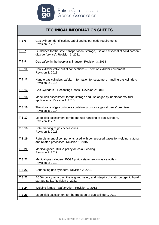

| <b>TECHNICAL INFORMATION SHEETS</b> |                                                                                                                          |
|-------------------------------------|--------------------------------------------------------------------------------------------------------------------------|
|                                     |                                                                                                                          |
| <u>TIS 6</u>                        | Gas cylinder identification. Label and colour code requirements.<br><b>Revision 3: 2018</b>                              |
| <u>TIS 7</u>                        | Guidelines for the safe transportation, storage, use and disposal of solid carbon<br>dioxide (dry ice). Revision 3: 2021 |
| <u>TIS 9</u>                        | Gas safety in the hospitality industry. Revision 3: 2018                                                                 |
|                                     |                                                                                                                          |
| <u>TIS 10</u>                       | New cylinder valve outlet connections – Effect on cylinder equipment.<br><b>Revision 3: 2018</b>                         |
|                                     |                                                                                                                          |
| <b>TIS12</b>                        | Handle gas cylinders safely. Information for customers handling gas cylinders.<br><b>Revision 2: 2015</b>                |
|                                     |                                                                                                                          |
| <b>TIS 13</b>                       | Gas Cylinders - Decanting Gases. Revision 2: 2015                                                                        |
| <b>TIS 15</b>                       | Model risk assessment for the storage and use of gas cylinders for oxy-fuel<br>applications. Revision 1: 2015            |
| <u>TIS 16</u>                       | The storage of gas cylinders containing corrosive gas at users' premises.<br><b>Revision 1: 2014</b>                     |
| <b>TIS 17</b>                       | Model risk assessment for the manual handling of gas cylinders.<br><b>Revision 1: 2016</b>                               |
|                                     |                                                                                                                          |
| <b>TIS 18</b>                       | Date marking of gas accessories.<br><b>Revision 3: 2018</b>                                                              |
| <b>TIS 19</b>                       | Refurbishment of components used with compressed gases for welding, cutting<br>and related processes. Revision 1: 2015   |
| <b>TIS 20</b>                       | Medical gases. BCGA policy on colour coding.<br><b>Revision 2: 2019</b>                                                  |
| <u>TIS 21</u>                       | Medical gas cylinders. BCGA policy statement on valve outlets.<br><b>Revision 2: 2019</b>                                |
| <b>TIS 22</b>                       | Connecting gas cylinders. Revision 2: 2021                                                                               |
| <b>TIS 23</b>                       | BCGA policy regarding the ongoing safety and integrity of static cryogenic liquid<br>storage tanks. Revision 1: 2022     |
|                                     |                                                                                                                          |
| <u>TIS 24</u>                       | Welding fumes - Safety Alert. Revision 1: 2013                                                                           |
|                                     |                                                                                                                          |
| <b>TIS 26</b>                       | Model risk assessment for the transport of gas cylinders. 2012                                                           |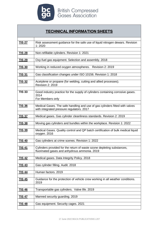

## **TECHNICAL INFORMATION SHEETS**

| <b>TIS 27</b> | Risk assessment guidance for the safe use of liquid nitrogen dewars. Revision<br>1:2020                                   |
|---------------|---------------------------------------------------------------------------------------------------------------------------|
| <b>TIS 28</b> | Non-refillable cylinders. Revision 1: 2021                                                                                |
| <b>TIS 29</b> | Oxy-fuel gas equipment. Selection and assembly. 2018                                                                      |
| <b>TIS 30</b> | Working in reduced oxygen atmospheres. Revision 2: 2019                                                                   |
| <b>TIS 31</b> | Gas classification changes under ISO 10156. Revision 1: 2018                                                              |
| <u>TIS 32</u> | Acetylene or propane (for welding, cutting and allied processes).<br><b>Revision 2: 2019</b>                              |
| <b>TIS 33</b> | Good industry practice for the supply of cylinders containing corrosive gases.<br>2014<br>For Members only                |
| <b>TIS 36</b> | Medical Gases. The safe handling and use of gas cylinders fitted with valves<br>with integrated pressure regulators. 2017 |
| <b>TIS 37</b> | Medical gases. Gas cylinder cleanliness standards. Revision 2: 2019                                                       |
| <u>TIS 38</u> | Moving gas cylinders and bundles within the workplace. Revision 1: 2022                                                   |
| <u>TIS 39</u> | Medical Gases. Quality control and QP batch certification of bulk medical liquid<br>oxygen. 2016                          |
| <b>TIS 40</b> | Gas cylinders at crime scenes. Revision 1: 2022                                                                           |
| <b>TIS 41</b> | Cylinders provided for the return of waste ozone depleting substances,<br>fluorinated gases and anhydrous ammonia. 2019   |
| <b>TIS 42</b> | Medical gases. Data Integrity Policy. 2018                                                                                |
| <b>TIS 43</b> | Gas cylinder filling. Audit. 2018                                                                                         |
| <b>TIS 44</b> | Human factors. 2019                                                                                                       |
| <b>TIS 45</b> | Guidance for the protection of vehicle crew working in all weather conditions.<br>2019                                    |
| <b>TIS 46</b> | Transportable gas cylinders. Valve life. 2019                                                                             |
| <b>TIS 47</b> | Manned security guarding. 2019                                                                                            |
| <b>TIS 48</b> | Gas equipment. Security cages. 2021                                                                                       |
|               |                                                                                                                           |